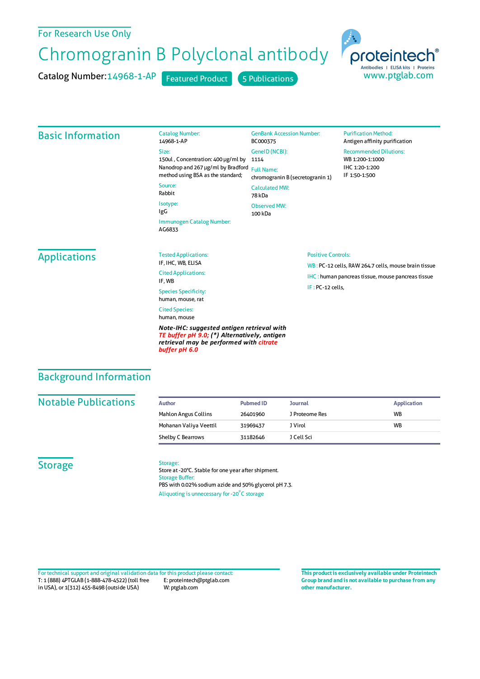### For Research Use Only

# Chromogranin B Polyclonal antibody

Catalog Number: 14968-1-AP

Catalog Number: 14968-1-AP Featured Product 5 Publications



### Basic Information

#### Size: 150ul , Concentration: 400 μg/ml by 1114 Nanodrop and 267 μg/ml by Bradford Full Name: method using BSA as the standard; Source: Rabbit Isotype: IgG Immunogen Catalog Number:

AG6833

### GenBank Accession Number: BC000375 GeneID(NCBI): chromogranin B (secretogranin 1) CalculatedMW: 78 kDa

Observed MW: 100 kDa

Recommended Dilutions:

IF 1:50-1:500

WB 1:200-1:1000 IHC 1:20-1:200

**Purification Method:** Antigen affinity purification

## Applications

Tested Applications: IF, IHC, WB, ELISA Cited Applications: IF, WB

Species Specificity: human, mouse, rat Cited Species: human, mouse

*Note-IHC: suggested antigen retrieval with TE buffer pH 9.0; (\*) Alternatively, antigen retrieval may be performed with citrate buffer pH 6.0*

#### Positive Controls:

WB : PC-12 cells, RAW 264.7 cells, mouse brain tissue IHC : human pancreas tissue, mouse pancreas tissue IF : PC-12 cells,

### Background Information

### **Notable Publications**

| Author                      | Pubmed ID | Journal        | <b>Application</b> |
|-----------------------------|-----------|----------------|--------------------|
| <b>Mahlon Angus Collins</b> | 26401960  | J Proteome Res | <b>WB</b>          |
| Mohanan Valiya Veettil      | 31969437  | J Virol        | <b>WB</b>          |
| Shelby C Bearrows           | 31182646  | J Cell Sci     |                    |

### **Storage**

#### Storage:

Store at -20°C. Stable for one year after shipment. Storage Buffer: PBS with 0.02% sodium azide and 50% glycerol pH 7.3. Aliquoting is unnecessary for -20<sup>°</sup>C storage

T: 1 (888) 4PTGLAB (1-888-478-4522) (toll free in USA), or 1(312) 455-8498 (outside USA) E: proteintech@ptglab.com W: ptglab.com Fortechnical support and original validation data forthis product please contact: **This productis exclusively available under Proteintech**

**Group brand and is not available to purchase from any other manufacturer.**